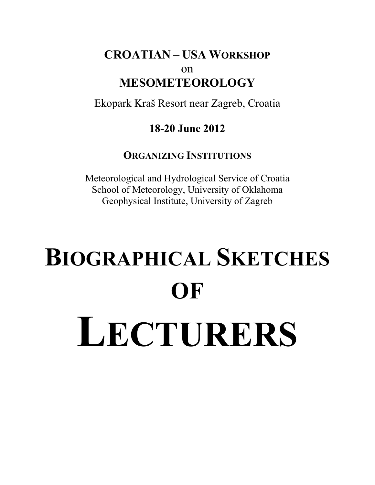## **CROATIAN – USA WORKSHOP** on **MESOMETEOROLOGY**

Ekopark Kraš Resort near Zagreb, Croatia

## **18-20 June 2012**

## **ORGANIZING INSTITUTIONS**

Meteorological and Hydrological Service of Croatia School of Meteorology, University of Oklahoma Geophysical Institute, University of Zagreb

## **BIOGRAPHICAL SKETCHES OF LECTURERS**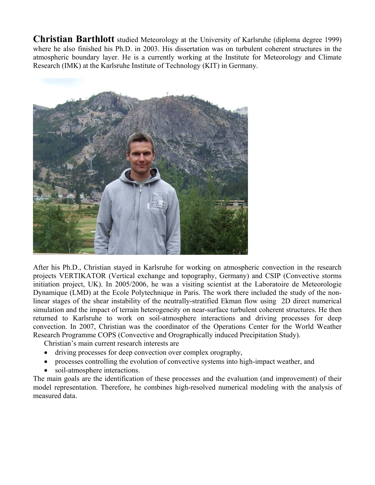**Christian Barthlott** studied Meteorology at the University of Karlsruhe (diploma degree 1999) where he also finished his Ph.D. in 2003. His dissertation was on turbulent coherent structures in the atmospheric boundary layer. He is a currently working at the Institute for Meteorology and Climate Research (IMK) at the Karlsruhe Institute of Technology (KIT) in Germany.



After his Ph.D., Christian stayed in Karlsruhe for working on atmospheric convection in the research projects VERTIKATOR (Vertical exchange and topography, Germany) and CSIP (Convective storms initiation project, UK). In 2005/2006, he was a visiting scientist at the Laboratoire de Meteorologie Dynamique (LMD) at the Ecole Polytechnique in Paris. The work there included the study of the nonlinear stages of the shear instability of the neutrally-stratified Ekman flow using 2D direct numerical simulation and the impact of terrain heterogeneity on near-surface turbulent coherent structures. He then returned to Karlsruhe to work on soil-atmosphere interactions and driving processes for deep convection. In 2007, Christian was the coordinator of the Operations Center for the World Weather Research Programme COPS (Convective and Orographically induced Precipitation Study).

Christian's main current research interests are

- driving processes for deep convection over complex orography,
- processes controlling the evolution of convective systems into high-impact weather, and
- soil-atmosphere interactions.

The main goals are the identification of these processes and the evaluation (and improvement) of their model representation. Therefore, he combines high-resolved numerical modeling with the analysis of measured data.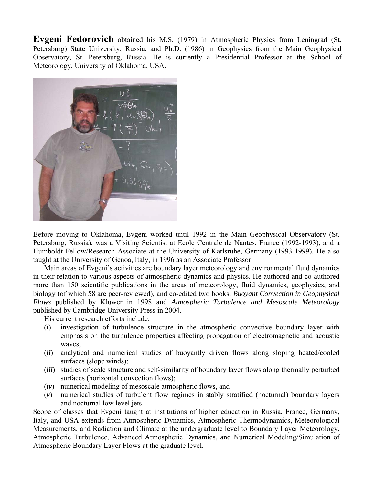**Evgeni Fedorovich** obtained his M.S. (1979) in Atmospheric Physics from Leningrad (St. Petersburg) State University, Russia, and Ph.D. (1986) in Geophysics from the Main Geophysical Observatory, St. Petersburg, Russia. He is currently a Presidential Professor at the School of Meteorology, University of Oklahoma, USA.



Before moving to Oklahoma, Evgeni worked until 1992 in the Main Geophysical Observatory (St. Petersburg, Russia), was a Visiting Scientist at Ecole Centrale de Nantes, France (1992-1993), and a Humboldt Fellow/Research Associate at the University of Karlsruhe, Germany (1993-1999). He also taught at the University of Genoa, Italy, in 1996 as an Associate Professor.

Main areas of Evgeni's activities are boundary layer meteorology and environmental fluid dynamics in their relation to various aspects of atmospheric dynamics and physics. He authored and co-authored more than 150 scientific publications in the areas of meteorology, fluid dynamics, geophysics, and biology (of which 58 are peer-reviewed), and co-edited two books: *Buoyant Convection in Geophysical Flows* published by Kluwer in 1998 and *Atmospheric Turbulence and Mesoscale Meteorology* published by Cambridge University Press in 2004.

His current research efforts include:

- (*i*) investigation of turbulence structure in the atmospheric convective boundary layer with emphasis on the turbulence properties affecting propagation of electromagnetic and acoustic waves;
- (*ii*) analytical and numerical studies of buoyantly driven flows along sloping heated/cooled surfaces (slope winds);
- (*iii*) studies of scale structure and self-similarity of boundary layer flows along thermally perturbed surfaces (horizontal convection flows);
- (*iv*) numerical modeling of mesoscale atmospheric flows, and
- (*v*) numerical studies of turbulent flow regimes in stably stratified (nocturnal) boundary layers and nocturnal low level jets.

Scope of classes that Evgeni taught at institutions of higher education in Russia, France, Germany, Italy, and USA extends from Atmospheric Dynamics, Atmospheric Thermodynamics, Meteorological Measurements, and Radiation and Climate at the undergraduate level to Boundary Layer Meteorology, Atmospheric Turbulence, Advanced Atmospheric Dynamics, and Numerical Modeling/Simulation of Atmospheric Boundary Layer Flows at the graduate level.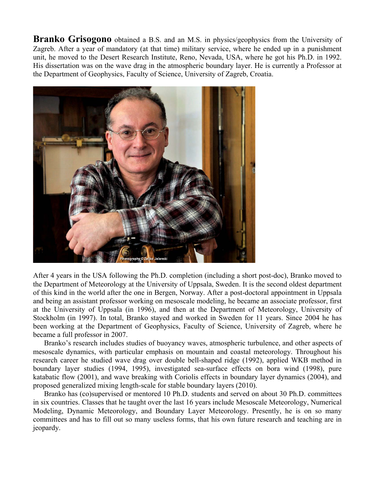**Branko Grisogono** obtained a B.S. and an M.S. in physics/geophysics from the University of Zagreb. After a year of mandatory (at that time) military service, where he ended up in a punishment unit, he moved to the Desert Research Institute, Reno, Nevada, USA, where he got his Ph.D. in 1992. His dissertation was on the wave drag in the atmospheric boundary layer. He is currently a Professor at the Department of Geophysics, Faculty of Science, University of Zagreb, Croatia.



After 4 years in the USA following the Ph.D. completion (including a short post-doc), Branko moved to the Department of Meteorology at the University of Uppsala, Sweden. It is the second oldest department of this kind in the world after the one in Bergen, Norway. After a post-doctoral appointment in Uppsala and being an assistant professor working on mesoscale modeling, he became an associate professor, first at the University of Uppsala (in 1996), and then at the Department of Meteorology, University of Stockholm (in 1997). In total, Branko stayed and worked in Sweden for 11 years. Since 2004 he has been working at the Department of Geophysics, Faculty of Science, University of Zagreb, where he became a full professor in 2007.

Branko's research includes studies of buoyancy waves, atmospheric turbulence, and other aspects of mesoscale dynamics, with particular emphasis on mountain and coastal meteorology. Throughout his research career he studied wave drag over double bell-shaped ridge (1992), applied WKB method in boundary layer studies (1994, 1995), investigated sea-surface effects on bora wind (1998), pure katabatic flow (2001), and wave breaking with Coriolis effects in boundary layer dynamics (2004), and proposed generalized mixing length-scale for stable boundary layers (2010).

Branko has (co)supervised or mentored 10 Ph.D. students and served on about 30 Ph.D. committees in six countries. Classes that he taught over the last 16 years include Mesoscale Meteorology, Numerical Modeling, Dynamic Meteorology, and Boundary Layer Meteorology. Presently, he is on so many committees and has to fill out so many useless forms, that his own future research and teaching are in jeopardy.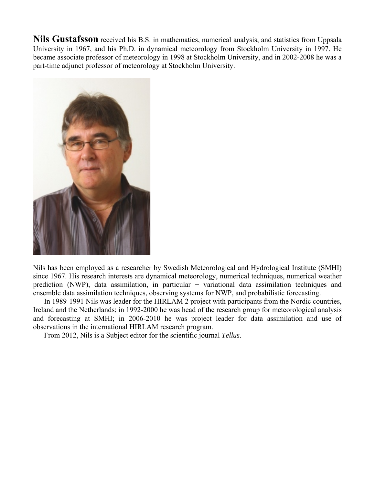**Nils Gustafsson** received his B.S. in mathematics, numerical analysis, and statistics from Uppsala University in 1967, and his Ph.D. in dynamical meteorology from Stockholm University in 1997. He became associate professor of meteorology in 1998 at Stockholm University, and in 2002-2008 he was a part-time adjunct professor of meteorology at Stockholm University.



Nils has been employed as a researcher by Swedish Meteorological and Hydrological Institute (SMHI) since 1967. His research interests are dynamical meteorology, numerical techniques, numerical weather prediction (NWP), data assimilation, in particular − variational data assimilation techniques and ensemble data assimilation techniques, observing systems for NWP, and probabilistic forecasting.

In 1989-1991 Nils was leader for the HIRLAM 2 project with participants from the Nordic countries, Ireland and the Netherlands; in 1992-2000 he was head of the research group for meteorological analysis and forecasting at SMHI; in 2006-2010 he was project leader for data assimilation and use of observations in the international HIRLAM research program.

From 2012, Nils is a Subject editor for the scientific journal *Tellus*.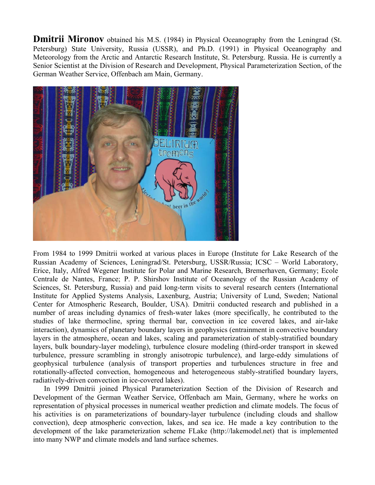**Dmitrii Mironov** obtained his M.S. (1984) in Physical Oceanography from the Leningrad (St. Petersburg) State University, Russia (USSR), and Ph.D. (1991) in Physical Oceanography and Meteorology from the Arctic and Antarctic Research Institute, St. Petersburg. Russia. He is currently a Senior Scientist at the Division of Research and Development, Physical Parameterization Section, of the German Weather Service, Offenbach am Main, Germany.



From 1984 to 1999 Dmitrii worked at various places in Europe (Institute for Lake Research of the Russian Academy of Sciences, Leningrad/St. Petersburg, USSR/Russia; ICSC – World Laboratory, Erice, Italy, Alfred Wegener Institute for Polar and Marine Research, Bremerhaven, Germany; Ecole Centrale de Nantes, France; P. P. Shirshov Institute of Oceanology of the Russian Academy of Sciences, St. Petersburg, Russia) and paid long-term visits to several research centers (International Institute for Applied Systems Analysis, Laxenburg, Austria; University of Lund, Sweden; National Center for Atmospheric Research, Boulder, USA). Dmitrii conducted research and published in a number of areas including dynamics of fresh-water lakes (more specifically, he contributed to the studies of lake thermocline, spring thermal bar, convection in ice covered lakes, and air-lake interaction), dynamics of planetary boundary layers in geophysics (entrainment in convective boundary layers in the atmosphere, ocean and lakes, scaling and parameterization of stably-stratified boundary layers, bulk boundary-layer modeling), turbulence closure modeling (third-order transport in skewed turbulence, pressure scrambling in strongly anisotropic turbulence), and large-eddy simulations of geophysical turbulence (analysis of transport properties and turbulences structure in free and rotationally-affected convection, homogeneous and heterogeneous stably-stratified boundary layers, radiatively-driven convection in ice-covered lakes).

In 1999 Dmitrii joined Physical Parameterization Section of the Division of Research and Development of the German Weather Service, Offenbach am Main, Germany, where he works on representation of physical processes in numerical weather prediction and climate models. The focus of his activities is on parameterizations of boundary-layer turbulence (including clouds and shallow convection), deep atmospheric convection, lakes, and sea ice. He made a key contribution to the development of the lake parameterization scheme FLake (http://lakemodel.net) that is implemented into many NWP and climate models and land surface schemes.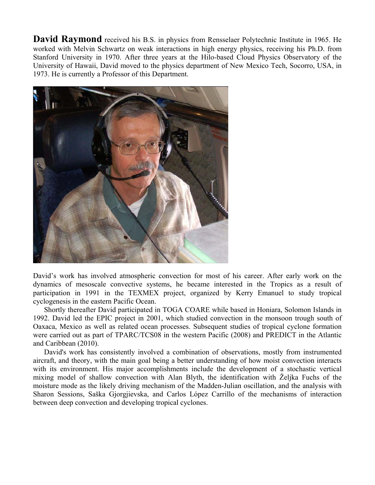**David Raymond** received his B.S. in physics from Rensselaer Polytechnic Institute in 1965. He worked with Melvin Schwartz on weak interactions in high energy physics, receiving his Ph.D. from Stanford University in 1970. After three years at the Hilo-based Cloud Physics Observatory of the University of Hawaii, David moved to the physics department of New Mexico Tech, Socorro, USA, in 1973. He is currently a Professor of this Department.



David's work has involved atmospheric convection for most of his career. After early work on the dynamics of mesoscale convective systems, he became interested in the Tropics as a result of participation in 1991 in the TEXMEX project, organized by Kerry Emanuel to study tropical cyclogenesis in the eastern Pacific Ocean.

Shortly thereafter David participated in TOGA COARE while based in Honiara, Solomon Islands in 1992. David led the EPIC project in 2001, which studied convection in the monsoon trough south of Oaxaca, Mexico as well as related ocean processes. Subsequent studies of tropical cyclone formation were carried out as part of TPARC/TCS08 in the western Pacific (2008) and PREDICT in the Atlantic and Caribbean (2010).

David's work has consistently involved a combination of observations, mostly from instrumented aircraft, and theory, with the main goal being a better understanding of how moist convection interacts with its environment. His major accomplishments include the development of a stochastic vertical mixing model of shallow convection with Alan Blyth, the identification with Željka Fuchs of the moisture mode as the likely driving mechanism of the Madden-Julian oscillation, and the analysis with Sharon Sessions, Saška Gjorgjievska, and Carlos López Carrillo of the mechanisms of interaction between deep convection and developing tropical cyclones.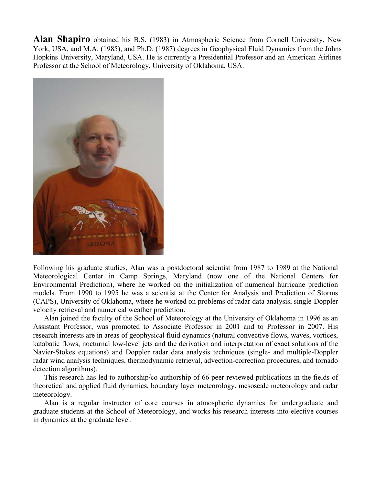**Alan Shapiro** obtained his B.S. (1983) in Atmospheric Science from Cornell University, New York, USA, and M.A. (1985), and Ph.D. (1987) degrees in Geophysical Fluid Dynamics from the Johns Hopkins University, Maryland, USA. He is currently a Presidential Professor and an American Airlines Professor at the School of Meteorology, University of Oklahoma, USA.



Following his graduate studies, Alan was a postdoctoral scientist from 1987 to 1989 at the National Meteorological Center in Camp Springs, Maryland (now one of the National Centers for Environmental Prediction), where he worked on the initialization of numerical hurricane prediction models. From 1990 to 1995 he was a scientist at the Center for Analysis and Prediction of Storms (CAPS), University of Oklahoma, where he worked on problems of radar data analysis, single-Doppler velocity retrieval and numerical weather prediction.

Alan joined the faculty of the School of Meteorology at the University of Oklahoma in 1996 as an Assistant Professor, was promoted to Associate Professor in 2001 and to Professor in 2007. His research interests are in areas of geophysical fluid dynamics (natural convective flows, waves, vortices, katabatic flows, nocturnal low-level jets and the derivation and interpretation of exact solutions of the Navier-Stokes equations) and Doppler radar data analysis techniques (single- and multiple-Doppler radar wind analysis techniques, thermodynamic retrieval, advection-correction procedures, and tornado detection algorithms).

This research has led to authorship/co-authorship of 66 peer-reviewed publications in the fields of theoretical and applied fluid dynamics, boundary layer meteorology, mesoscale meteorology and radar meteorology.

Alan is a regular instructor of core courses in atmospheric dynamics for undergraduate and graduate students at the School of Meteorology, and works his research interests into elective courses in dynamics at the graduate level.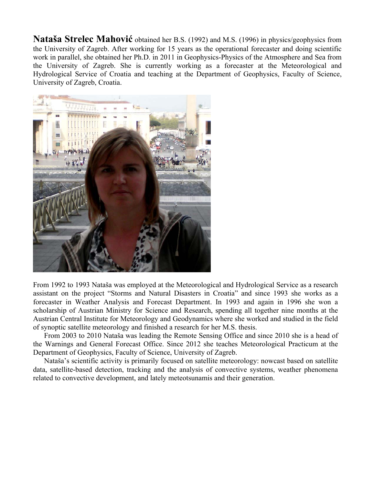**Nataša Strelec Mahović** obtained her B.S. (1992) and M.S. (1996) in physics/geophysics from the University of Zagreb. After working for 15 years as the operational forecaster and doing scientific work in parallel, she obtained her Ph.D. in 2011 in Geophysics-Physics of the Atmosphere and Sea from the University of Zagreb. She is currently working as a forecaster at the Meteorological and Hydrological Service of Croatia and teaching at the Department of Geophysics, Faculty of Science, University of Zagreb, Croatia.



From 1992 to 1993 Nataša was employed at the Meteorological and Hydrological Service as a research assistant on the project "Storms and Natural Disasters in Croatia" and since 1993 she works as a forecaster in Weather Analysis and Forecast Department. In 1993 and again in 1996 she won a scholarship of Austrian Ministry for Science and Research, spending all together nine months at the Austrian Central Institute for Meteorology and Geodynamics where she worked and studied in the field of synoptic satellite meteorology and finished a research for her M.S. thesis.

From 2003 to 2010 Nataša was leading the Remote Sensing Office and since 2010 she is a head of the Warnings and General Forecast Office. Since 2012 she teaches Meteorological Practicum at the Department of Geophysics, Faculty of Science, University of Zagreb.

Nataša's scientific activity is primarily focused on satellite meteorology: nowcast based on satellite data, satellite-based detection, tracking and the analysis of convective systems, weather phenomena related to convective development, and lately meteotsunamis and their generation.